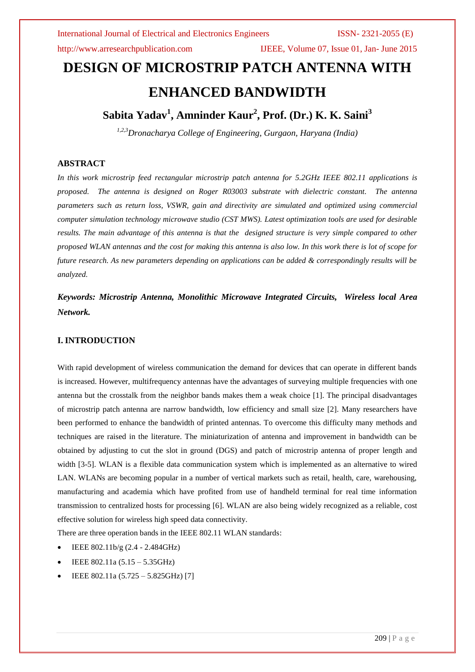http://www.arresearchpublication.com IJEEE, Volume 07, Issue 01, Jan- June 2015

# **DESIGN OF MICROSTRIP PATCH ANTENNA WITH ENHANCED BANDWIDTH**

## **Sabita Yadav<sup>1</sup> , Amninder Kaur<sup>2</sup> , Prof. (Dr.) K. K. Saini<sup>3</sup>**

*1,2,3Dronacharya College of Engineering, Gurgaon, Haryana (India)*

### **ABSTRACT**

*In this work microstrip feed rectangular microstrip patch antenna for 5.2GHz IEEE 802.11 applications is proposed. The antenna is designed on Roger R03003 substrate with dielectric constant. The antenna parameters such as return loss, VSWR, gain and directivity are simulated and optimized using commercial computer simulation technology microwave studio (CST MWS). Latest optimization tools are used for desirable results. The main advantage of this antenna is that the designed structure is very simple compared to other proposed WLAN antennas and the cost for making this antenna is also low. In this work there is lot of scope for future research. As new parameters depending on applications can be added & correspondingly results will be analyzed.*

*Keywords: Microstrip Antenna, Monolithic Microwave Integrated Circuits, Wireless local Area Network.*

### **I. INTRODUCTION**

With rapid development of wireless communication the demand for devices that can operate in different bands is increased. However, multifrequency antennas have the advantages of surveying multiple frequencies with one antenna but the crosstalk from the neighbor bands makes them a weak choice [1]. The principal disadvantages of microstrip patch antenna are narrow bandwidth, low efficiency and small size [2]. Many researchers have been performed to enhance the bandwidth of printed antennas. To overcome this difficulty many methods and techniques are raised in the literature. The miniaturization of antenna and improvement in bandwidth can be obtained by adjusting to cut the slot in ground (DGS) and patch of microstrip antenna of proper length and width [3-5]. WLAN is a flexible data communication system which is implemented as an alternative to wired LAN. WLANs are becoming popular in a number of vertical markets such as retail, health, care, warehousing, manufacturing and academia which have profited from use of handheld terminal for real time information transmission to centralized hosts for processing [6]. WLAN are also being widely recognized as a reliable, cost effective solution for wireless high speed data connectivity.

There are three operation bands in the IEEE 802.11 WLAN standards:

- IEEE 802.11b/g (2.4 2.484GHz)
- IEEE 802.11a (5.15 5.35GHz)
- IEEE 802.11a (5.725 5.825GHz) [7]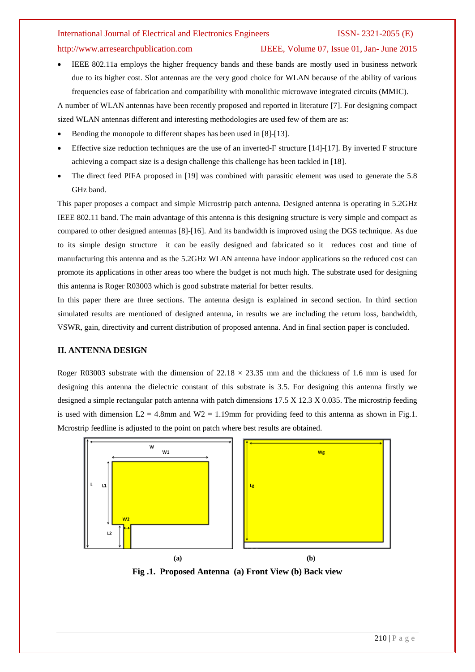### http://www.arresearchpublication.com IJEEE, Volume 07, Issue 01, Jan- June 2015

 IEEE 802.11a employs the higher frequency bands and these bands are mostly used in business network due to its higher cost. Slot antennas are the very good choice for WLAN because of the ability of various frequencies ease of fabrication and compatibility with monolithic microwave integrated circuits (MMIC).

A number of WLAN antennas have been recently proposed and reported in literature [7]. For designing compact sized WLAN antennas different and interesting methodologies are used few of them are as:

- Bending the monopole to different shapes has been used in [8]-[13].
- Effective size reduction techniques are the use of an inverted-F structure [14]-[17]. By inverted F structure achieving a compact size is a design challenge this challenge has been tackled in [18].
- The direct feed PIFA proposed in [19] was combined with parasitic element was used to generate the 5.8 GHz band.

This paper proposes a compact and simple Microstrip patch antenna. Designed antenna is operating in 5.2GHz IEEE 802.11 band. The main advantage of this antenna is this designing structure is very simple and compact as compared to other designed antennas [8]-[16]. And its bandwidth is improved using the DGS technique. As due to its simple design structure it can be easily designed and fabricated so it reduces cost and time of manufacturing this antenna and as the 5.2GHz WLAN antenna have indoor applications so the reduced cost can promote its applications in other areas too where the budget is not much high. The substrate used for designing this antenna is Roger R03003 which is good substrate material for better results.

In this paper there are three sections. The antenna design is explained in second section. In third section simulated results are mentioned of designed antenna, in results we are including the return loss, bandwidth, VSWR, gain, directivity and current distribution of proposed antenna. And in final section paper is concluded.

#### **II. ANTENNA DESIGN**

Roger R03003 substrate with the dimension of  $22.18 \times 23.35$  mm and the thickness of 1.6 mm is used for designing this antenna the dielectric constant of this substrate is 3.5. For designing this antenna firstly we designed a simple rectangular patch antenna with patch dimensions 17.5 X 12.3 X 0.035. The microstrip feeding is used with dimension  $L2 = 4.8$ mm and  $W2 = 1.19$ mm for providing feed to this antenna as shown in Fig.1. Mcrostrip feedline is adjusted to the point on patch where best results are obtained.



**Fig .1. Proposed Antenna (a) Front View (b) Back view**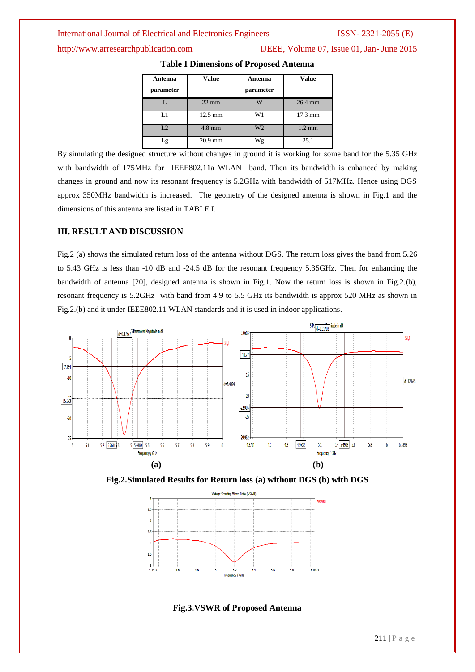http://www.arresearchpublication.com IJEEE, Volume 07, Issue 01, Jan- June 2015

| Antenna<br>parameter | <b>Value</b>      | Antenna<br>parameter | <b>Value</b>      |
|----------------------|-------------------|----------------------|-------------------|
|                      | $22 \text{ mm}$   | w                    | 26.4 mm           |
| L1                   | $12.5 \text{ mm}$ | W1                   | $17.3 \text{ mm}$ |
| L <sub>2</sub>       | $4.8$ mm          | W <sub>2</sub>       | $1.2 \text{ mm}$  |
| -g                   | $20.9$ mm         | Wg                   | 25.1              |

**Table I Dimensions of Proposed Antenna** 

By simulating the designed structure without changes in ground it is working for some band for the 5.35 GHz with bandwidth of 175MHz for IEEE802.11a WLAN band. Then its bandwidth is enhanced by making changes in ground and now its resonant frequency is 5.2GHz with bandwidth of 517MHz. Hence using DGS approx 350MHz bandwidth is increased. The geometry of the designed antenna is shown in Fig.1 and the dimensions of this antenna are listed in TABLE I.

### **III. RESULT AND DISCUSSION**

Fig.2 (a) shows the simulated return loss of the antenna without DGS. The return loss gives the band from 5.26 to 5.43 GHz is less than -10 dB and -24.5 dB for the resonant frequency 5.35GHz. Then for enhancing the bandwidth of antenna [20], designed antenna is shown in Fig.1. Now the return loss is shown in Fig.2.(b), resonant frequency is 5.2GHz with band from 4.9 to 5.5 GHz its bandwidth is approx 520 MHz as shown in Fig.2.(b) and it under IEEE802.11 WLAN standards and it is used in indoor applications.







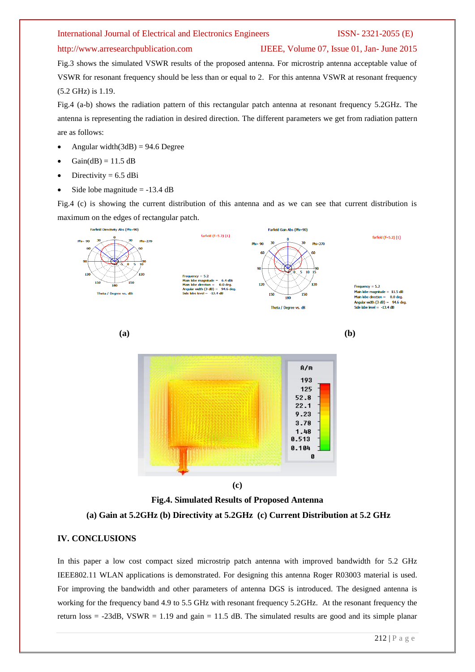### http://www.arresearchpublication.com IJEEE, Volume 07, Issue 01, Jan- June 2015

Fig.3 shows the simulated VSWR results of the proposed antenna. For microstrip antenna acceptable value of VSWR for resonant frequency should be less than or equal to 2. For this antenna VSWR at resonant frequency (5.2 GHz) is 1.19.

Fig.4 (a-b) shows the radiation pattern of this rectangular patch antenna at resonant frequency 5.2GHz. The antenna is representing the radiation in desired direction. The different parameters we get from radiation pattern are as follows:

- Angular width $(3dB) = 94.6$  Degree
- $Gain(dB) = 11.5 dB$
- Directivity  $= 6.5$  dBi
- Side lobe magnitude  $= -13.4$  dB

Fig.4 (c) is showing the current distribution of this antenna and as we can see that current distribution is maximum on the edges of rectangular patch.





### **IV. CONCLUSIONS**

In this paper a low cost compact sized microstrip patch antenna with improved bandwidth for 5.2 GHz IEEE802.11 WLAN applications is demonstrated. For designing this antenna Roger R03003 material is used. For improving the bandwidth and other parameters of antenna DGS is introduced. The designed antenna is working for the frequency band 4.9 to 5.5 GHz with resonant frequency 5.2GHz. At the resonant frequency the return loss  $=$  -23dB, VSWR  $=$  1.19 and gain  $=$  11.5 dB. The simulated results are good and its simple planar